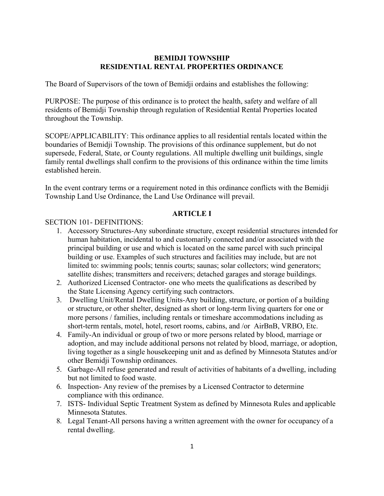## **BEMIDJI TOWNSHIP RESIDENTIAL RENTAL PROPERTIES ORDINANCE**

The Board of Supervisors of the town of Bemidji ordains and establishes the following:

PURPOSE: The purpose of this ordinance is to protect the health, safety and welfare of all residents of Bemidji Township through regulation of Residential Rental Properties located throughout the Township.

SCOPE/APPLICABILITY: This ordinance applies to all residential rentals located within the boundaries of Bemidji Township. The provisions of this ordinance supplement, but do not supersede, Federal, State, or County regulations. All multiple dwelling unit buildings, single family rental dwellings shall confirm to the provisions of this ordinance within the time limits established herein.

In the event contrary terms or a requirement noted in this ordinance conflicts with the Bemidji Township Land Use Ordinance, the Land Use Ordinance will prevail.

## **ARTICLE I**

## SECTION 101- DEFINITIONS:

- 1. Accessory Structures-Any subordinate structure, except residential structures intended for human habitation, incidental to and customarily connected and/or associated with the principal building or use and which is located on the same parcel with such principal building or use. Examples of such structures and facilities may include, but are not limited to: swimming pools; tennis courts; saunas; solar collectors; wind generators; satellite dishes; transmitters and receivers; detached garages and storage buildings.
- 2. Authorized Licensed Contractor- one who meets the qualifications as described by the State Licensing Agency certifying such contractors.
- 3. Dwelling Unit/Rental Dwelling Units-Any building, structure, or portion of a building or structure, or other shelter, designed as short or long-term living quarters for one or more persons / families, including rentals or timeshare accommodations including as short-term rentals, motel, hotel, resort rooms, cabins, and /or AirBnB, VRBO, Etc.
- 4. Family-An individual or group of two or more persons related by blood, marriage or adoption, and may include additional persons not related by blood, marriage, or adoption, living together as a single housekeeping unit and as defined by Minnesota Statutes and/or other Bemidji Township ordinances.
- 5. Garbage-All refuse generated and result of activities of habitants of a dwelling, including but not limited to food waste.
- 6. Inspection- Any review of the premises by a Licensed Contractor to determine compliance with this ordinance.
- 7. ISTS- Individual Septic Treatment System as defined by Minnesota Rules and applicable Minnesota Statutes.
- 8. Legal Tenant-All persons having a written agreement with the owner for occupancy of a rental dwelling.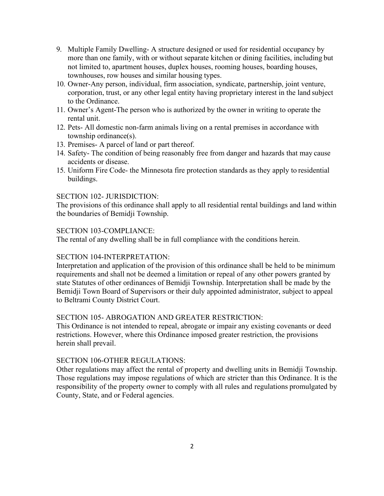- 9. Multiple Family Dwelling- A structure designed or used for residential occupancy by more than one family, with or without separate kitchen or dining facilities, including but not limited to, apartment houses, duplex houses, rooming houses, boarding houses, townhouses, row houses and similar housing types.
- 10. Owner-Any person, individual, firm association, syndicate, partnership, joint venture, corporation, trust, or any other legal entity having proprietary interest in the land subject to the Ordinance.
- 11. Owner's Agent-The person who is authorized by the owner in writing to operate the rental unit.
- 12. Pets- All domestic non-farm animals living on a rental premises in accordance with township ordinance(s).
- 13. Premises- A parcel of land or part thereof.
- 14. Safety- The condition of being reasonably free from danger and hazards that may cause accidents or disease.
- 15. Uniform Fire Code- the Minnesota fire protection standards as they apply to residential buildings.

## SECTION 102- JURISDICTION:

The provisions of this ordinance shall apply to all residential rental buildings and land within the boundaries of Bemidji Township.

### SECTION 103-COMPLIANCE:

The rental of any dwelling shall be in full compliance with the conditions herein.

## SECTION 104-INTERPRETATION:

Interpretation and application of the provision of this ordinance shall be held to be minimum requirements and shall not be deemed a limitation or repeal of any other powers granted by state Statutes of other ordinances of Bemidji Township. Interpretation shall be made by the Bemidji Town Board of Supervisors or their duly appointed administrator, subject to appeal to Beltrami County District Court.

### SECTION 105- ABROGATION AND GREATER RESTRICTION:

This Ordinance is not intended to repeal, abrogate or impair any existing covenants or deed restrictions. However, where this Ordinance imposed greater restriction, the provisions herein shall prevail.

### SECTION 106-OTHER REGULATIONS:

Other regulations may affect the rental of property and dwelling units in Bemidji Township. Those regulations may impose regulations of which are stricter than this Ordinance. It is the responsibility of the property owner to comply with all rules and regulations promulgated by County, State, and or Federal agencies.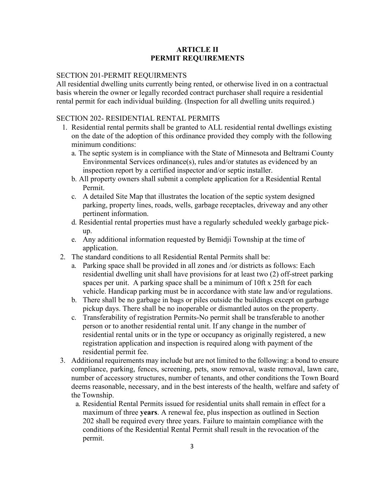## **ARTICLE II PERMIT REQUIREMENTS**

#### SECTION 201-PERMIT REQUIRMENTS

All residential dwelling units currently being rented, or otherwise lived in on a contractual basis wherein the owner or legally recorded contract purchaser shall require a residential rental permit for each individual building. (Inspection for all dwelling units required.)

## SECTION 202- RESIDENTIAL RENTAL PERMITS

- 1. Residential rental permits shall be granted to ALL residential rental dwellings existing on the date of the adoption of this ordinance provided they comply with the following minimum conditions:
	- a. The septic system is in compliance with the State of Minnesota and Beltrami County Environmental Services ordinance(s), rules and/or statutes as evidenced by an inspection report by a certified inspector and/or septic installer.
	- b. All property owners shall submit a complete application for a Residential Rental Permit.
	- c. A detailed Site Map that illustrates the location of the septic system designed parking, property lines, roads, wells, garbage receptacles, driveway and any other pertinent information.
	- d. Residential rental properties must have a regularly scheduled weekly garbage pickup.
	- e. Any additional information requested by Bemidji Township at the time of application.
- 2. The standard conditions to all Residential Rental Permits shall be:
	- a. Parking space shall be provided in all zones and /or districts as follows: Each residential dwelling unit shall have provisions for at least two (2) off-street parking spaces per unit. A parking space shall be a minimum of 10ft x 25ft for each vehicle. Handicap parking must be in accordance with state law and/or regulations.
	- b. There shall be no garbage in bags or piles outside the buildings except on garbage pickup days. There shall be no inoperable or dismantled autos on the property.
	- c. Transferability of registration Permits-No permit shall be transferable to another person or to another residential rental unit. If any change in the number of residential rental units or in the type or occupancy as originally registered, a new registration application and inspection is required along with payment of the residential permit fee.
- 3. Additional requirements may include but are not limited to the following: a bond to ensure compliance, parking, fences, screening, pets, snow removal, waste removal, lawn care, number of accessory structures, number of tenants, and other conditions the Town Board deems reasonable, necessary, and in the best interests of the health, welfare and safety of the Township.
	- a. Residential Rental Permits issued for residential units shall remain in effect for a maximum of three **years**. A renewal fee, plus inspection as outlined in Section 202 shall be required every three years. Failure to maintain compliance with the conditions of the Residential Rental Permit shall result in the revocation of the permit.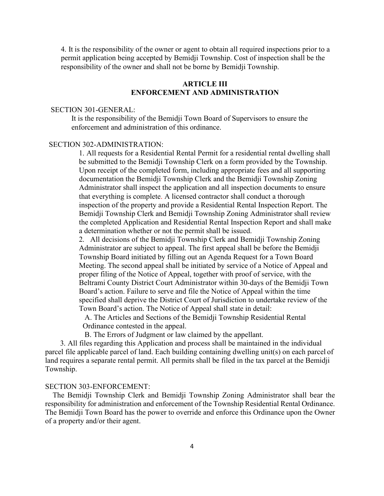4. It is the responsibility of the owner or agent to obtain all required inspections prior to a permit application being accepted by Bemidji Township. Cost of inspection shall be the responsibility of the owner and shall not be borne by Bemidji Township.

# **ARTICLE III ENFORCEMENT AND ADMINISTRATION**

#### SECTION 301-GENERAL:

It is the responsibility of the Bemidji Town Board of Supervisors to ensure the enforcement and administration of this ordinance.

## SECTION 302-ADMINISTRATION:

1. All requests for a Residential Rental Permit for a residential rental dwelling shall be submitted to the Bemidji Township Clerk on a form provided by the Township. Upon receipt of the completed form, including appropriate fees and all supporting documentation the Bemidji Township Clerk and the Bemidji Township Zoning Administrator shall inspect the application and all inspection documents to ensure that everything is complete. A licensed contractor shall conduct a thorough inspection of the property and provide a Residential Rental Inspection Report. The Bemidji Township Clerk and Bemidji Township Zoning Administrator shall review the completed Application and Residential Rental Inspection Report and shall make a determination whether or not the permit shall be issued.

2. All decisions of the Bemidji Township Clerk and Bemidji Township Zoning Administrator are subject to appeal. The first appeal shall be before the Bemidji Township Board initiated by filling out an Agenda Request for a Town Board Meeting. The second appeal shall be initiated by service of a Notice of Appeal and proper filing of the Notice of Appeal, together with proof of service, with the Beltrami County District Court Administrator within 30-days of the Bemidji Town Board's action. Failure to serve and file the Notice of Appeal within the time specified shall deprive the District Court of Jurisdiction to undertake review of the Town Board's action. The Notice of Appeal shall state in detail:

A. The Articles and Sections of the Bemidji Township Residential Rental Ordinance contested in the appeal.

B. The Errors of Judgment or law claimed by the appellant.

3. All files regarding this Application and process shall be maintained in the individual parcel file applicable parcel of land. Each building containing dwelling unit(s) on each parcel of land requires a separate rental permit. All permits shall be filed in the tax parcel at the Bemidji Township.

#### SECTION 303-ENFORCEMENT:

The Bemidji Township Clerk and Bemidji Township Zoning Administrator shall bear the responsibility for administration and enforcement of the Township Residential Rental Ordinance. The Bemidji Town Board has the power to override and enforce this Ordinance upon the Owner of a property and/or their agent.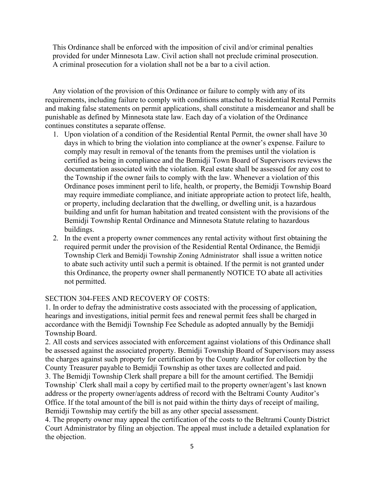This Ordinance shall be enforced with the imposition of civil and/or criminal penalties provided for under Minnesota Law. Civil action shall not preclude criminal prosecution. A criminal prosecution for a violation shall not be a bar to a civil action.

Any violation of the provision of this Ordinance or failure to comply with any of its requirements, including failure to comply with conditions attached to Residential Rental Permits and making false statements on permit applications, shall constitute a misdemeanor and shall be punishable as defined by Minnesota state law. Each day of a violation of the Ordinance continues constitutes a separate offense.

- 1. Upon violation of a condition of the Residential Rental Permit, the owner shall have 30 days in which to bring the violation into compliance at the owner's expense. Failure to comply may result in removal of the tenants from the premises until the violation is certified as being in compliance and the Bemidji Town Board of Supervisors reviews the documentation associated with the violation. Real estate shall be assessed for any cost to the Township if the owner fails to comply with the law. Whenever a violation of this Ordinance poses imminent peril to life, health, or property, the Bemidji Township Board may require immediate compliance, and initiate appropriate action to protect life, health, or property, including declaration that the dwelling, or dwelling unit, is a hazardous building and unfit for human habitation and treated consistent with the provisions of the Bemidji Township Rental Ordinance and Minnesota Statute relating to hazardous buildings.
- 2. In the event a property owner commences any rental activity without first obtaining the required permit under the provision of the Residential Rental Ordinance, the Bemidji Township Clerk and Bemidji Township Zoning Administrator shall issue a written notice to abate such activity until such a permit is obtained. If the permit is not granted under this Ordinance, the property owner shall permanently NOTICE TO abate all activities not permitted.

#### SECTION 304-FEES AND RECOVERY OF COSTS:

1. In order to defray the administrative costs associated with the processing of application, hearings and investigations, initial permit fees and renewal permit fees shall be charged in accordance with the Bemidji Township Fee Schedule as adopted annually by the Bemidji Township Board.

2. All costs and services associated with enforcement against violations of this Ordinance shall be assessed against the associated property. Bemidji Township Board of Supervisors may assess the charges against such property for certification by the County Auditor for collection by the County Treasurer payable to Bemidji Township as other taxes are collected and paid.

3. The Bemidji Township Clerk shall prepare a bill for the amount certified. The Bemidji Township` Clerk shall mail a copy by certified mail to the property owner/agent's last known address or the property owner/agents address of record with the Beltrami County Auditor's Office. If the total amount of the bill is not paid within the thirty days of receipt of mailing, Bemidji Township may certify the bill as any other special assessment.

4. The property owner may appeal the certification of the costs to the Beltrami County District Court Administrator by filing an objection. The appeal must include a detailed explanation for the objection.